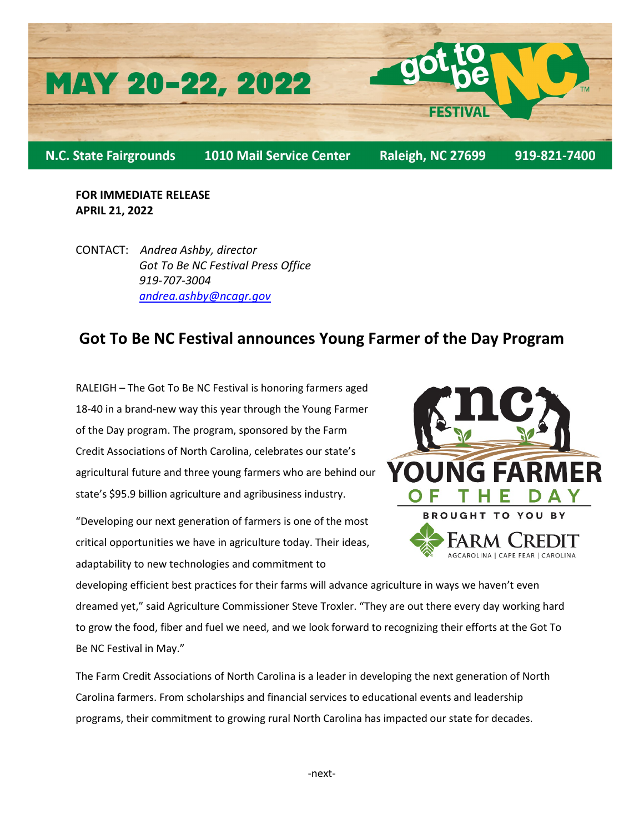

**FOR IMMEDIATE RELEASE APRIL 21, 2022**

CONTACT: *Andrea Ashby, director Got To Be NC Festival Press Office 919-707-3004 [andrea.ashby@ncagr.gov](mailto:andrea.ashby@ncagr.gov)*

## **Got To Be NC Festival announces Young Farmer of the Day Program**

RALEIGH – The Got To Be NC Festival is honoring farmers aged 18-40 in a brand-new way this year through the Young Farmer of the Day program. The program, sponsored by the Farm Credit Associations of North Carolina, celebrates our state's agricultural future and three young farmers who are behind our state's \$95.9 billion agriculture and agribusiness industry.

"Developing our next generation of farmers is one of the most critical opportunities we have in agriculture today. Their ideas, adaptability to new technologies and commitment to



developing efficient best practices for their farms will advance agriculture in ways we haven't even dreamed yet," said Agriculture Commissioner Steve Troxler. "They are out there every day working hard to grow the food, fiber and fuel we need, and we look forward to recognizing their efforts at the Got To Be NC Festival in May."

The Farm Credit Associations of North Carolina is a leader in developing the next generation of North Carolina farmers. From scholarships and financial services to educational events and leadership programs, their commitment to growing rural North Carolina has impacted our state for decades.